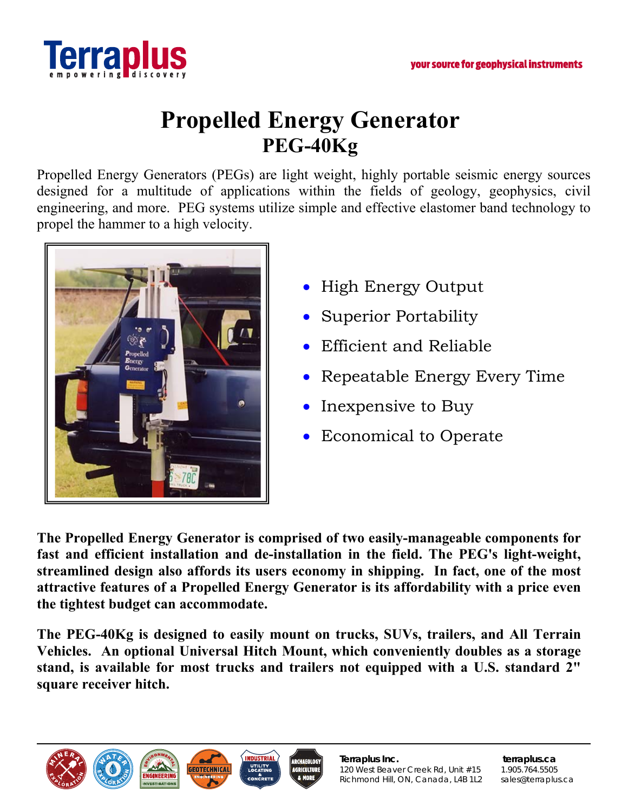

## **Propelled Energy Generator PEG-40Kg**

Propelled Energy Generators (PEGs) are light weight, highly portable seismic energy sources designed for a multitude of applications within the fields of geology, geophysics, civil engineering, and more. PEG systems utilize simple and effective elastomer band technology to propel the hammer to a high velocity.



- High Energy Output
- Superior Portability
- Efficient and Reliable
- Repeatable Energy Every Time
- Inexpensive to Buy
- Economical to Operate

**The Propelled Energy Generator is comprised of two easily-manageable components for fast and efficient installation and de-installation in the field. The PEG's light-weight, streamlined design also affords its users economy in shipping. In fact, one of the most attractive features of a Propelled Energy Generator is its affordability with a price even the tightest budget can accommodate.** 

**The PEG-40Kg is designed to easily mount on trucks, SUVs, trailers, and All Terrain Vehicles. An optional Universal Hitch Mount, which conveniently doubles as a storage stand, is available for most trucks and trailers not equipped with a U.S. standard 2" square receiver hitch.**